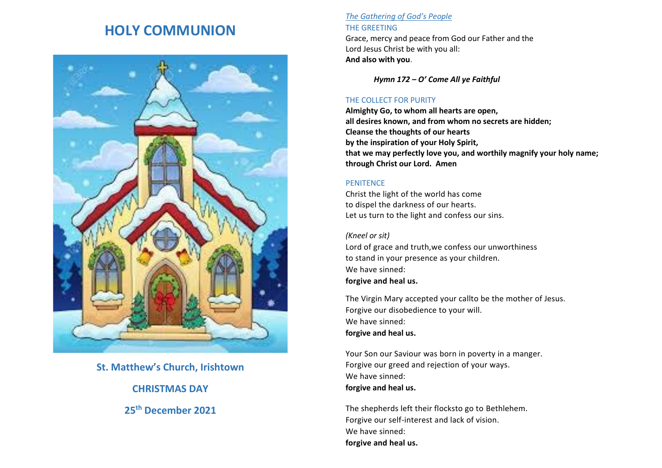# **HOLY COMMUNION**



**St. Matthew's Church, Irishtown CHRISTMAS DAY 25 th December 2021**

# *The Gathering of God's People*

# THE GREETING

Grace, mercy and peace from God our Father and the Lord Jesus Christ be with you all: **And also with you.**

*Hymn 172 – O' Come All ye Faithful*

#### THE COLLECT FOR PURITY

**Almighty Go, to whom all hearts are open, all desires known, and from whom no secrets are hidden; Cleanse the thoughts of our hearts by the inspiration of your Holy Spirit, that we may perfectly love you, and worthily magnify your holy name; through Christ our Lord. Amen**

#### **PENITENCE**

Christ the light of the world has come to dispel the darkness of our hearts. Let us turn to the light and confess our sins.

### *(Kneel or sit)*

Lord of grace and truth,we confess our unworthiness to stand in your presence as your children. We have sinned: **forgive and heal us.**

The Virgin Mary accepted your callto be the mother of Jesus. Forgive our disobedience to your will. We have sinned: **forgive and heal us.**

Your Son our Saviour was born in poverty in a manger. Forgive our greed and rejection of your ways. We have sinned: **forgive and heal us.**

The shepherds left their flocksto go to Bethlehem. Forgive our self-interest and lack of vision. We have sinned: **forgive and heal us.**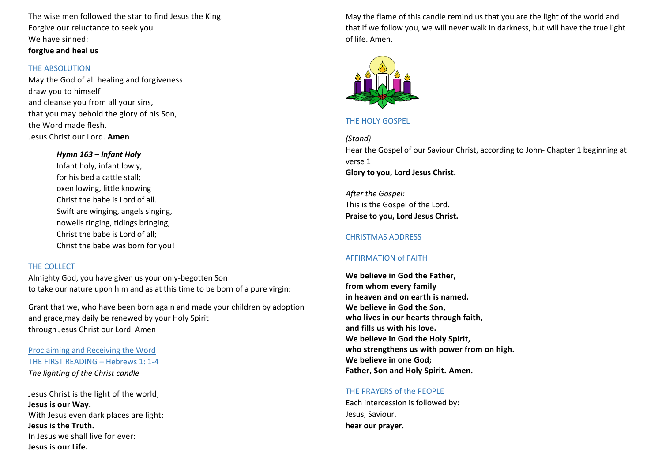The wise men followed the star to find Jesus the King. Forgive our reluctance to seek you. We have sinned: **forgive and heal us**

#### THE ABSOLUTION

May the God of all healing and forgiveness draw you to himself and cleanse you from all your sins, that you may behold the glory of his Son, the Word made flesh, Jesus Christ our Lord. **Amen**

> *Hymn 163 – Infant Holy*  Infant holy, infant lowly, for his bed a cattle stall; oxen lowing, little knowing Christ the babe is Lord of all. Swift are winging, angels singing, nowells ringing, tidings bringing; Christ the babe is Lord of all; Christ the babe was born for you!

# THE COLLECT

Almighty God, you have given us your only-begotten Son to take our nature upon him and as at this time to be born of a pure virgin:

Grant that we, who have been born again and made your children by adoption and grace,may daily be renewed by your Holy Spirit through Jesus Christ our Lord. Amen

Proclaiming and Receiving the Word THE FIRST READING – Hebrews 1: 1-4 *The lighting of the Christ candle*

Jesus Christ is the light of the world; **Jesus is our Way.** With Jesus even dark places are light; **Jesus is the Truth.** In Jesus we shall live for ever: **Jesus is our Life.**

May the flame of this candle remind us that you are the light of the world and that if we follow you, we will never walk in darkness, but will have the true light of life. Amen.



# THE HOLY GOSPEL

*(Stand)*

Hear the Gospel of our Saviour Christ, according to John- Chapter 1 beginning at verse 1 **Glory to you, Lord Jesus Christ.**

*After the Gospel:* This is the Gospel of the Lord. **Praise to you, Lord Jesus Christ.**

# CHRISTMAS ADDRESS

# AFFIRMATION of FAITH

**We believe in God the Father, from whom every family in heaven and on earth is named. We believe in God the Son, who lives in our hearts through faith, and fills us with his love. We believe in God the Holy Spirit, who strengthens us with power from on high. We believe in one God; Father, Son and Holy Spirit. Amen.**

# THE PRAYERS of the PEOPLE

Each intercession is followed by: Jesus, Saviour, **hear our prayer.**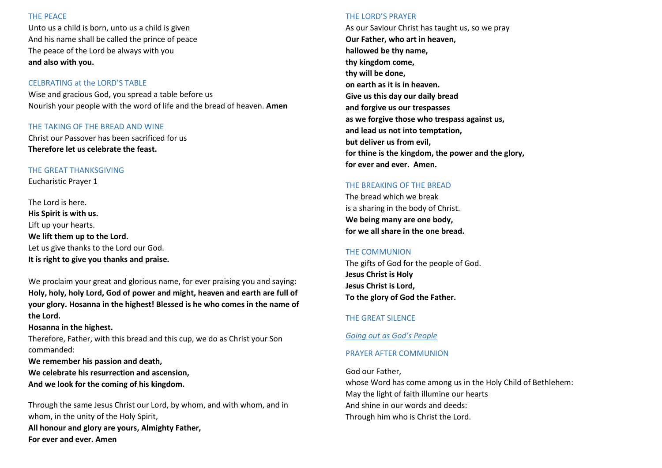#### THE PEACE

Unto us a child is born, unto us a child is given And his name shall be called the prince of peace The peace of the Lord be always with you **and also with you.**

#### CELBRATING at the LORD'S TABLE

Wise and gracious God, you spread a table before us Nourish your people with the word of life and the bread of heaven. **Amen**

#### THE TAKING OF THE BREAD AND WINE

Christ our Passover has been sacrificed for us **Therefore let us celebrate the feast.**

# THE GREAT THANKSGIVING

Eucharistic Prayer 1

The Lord is here. **His Spirit is with us.**  Lift up your hearts. **We lift them up to the Lord.** Let us give thanks to the Lord our God. **It is right to give you thanks and praise.**

We proclaim your great and glorious name, for ever praising you and saying: **Holy, holy, holy Lord, God of power and might, heaven and earth are full of your glory. Hosanna in the highest! Blessed is he who comes in the name of the Lord.**

#### **Hosanna in the highest.**

Therefore, Father, with this bread and this cup, we do as Christ your Son commanded:

**We remember his passion and death,**

**We celebrate his resurrection and ascension,**

**And we look for the coming of his kingdom.**

Through the same Jesus Christ our Lord, by whom, and with whom, and in whom, in the unity of the Holy Spirit,

**All honour and glory are yours, Almighty Father, For ever and ever. Amen**

#### THE LORD'S PRAYER

As our Saviour Christ has taught us, so we pray **Our Father, who art in heaven, hallowed be thy name, thy kingdom come, thy will be done, on earth as it is in heaven. Give us this day our daily bread and forgive us our trespasses as we forgive those who trespass against us, and lead us not into temptation, but deliver us from evil, for thine is the kingdom, the power and the glory, for ever and ever. Amen.** 

#### THE BREAKING OF THE BREAD

The bread which we break is a sharing in the body of Christ. **We being many are one body, for we all share in the one bread.**

#### THE COMMUNION

The gifts of God for the people of God. **Jesus Christ is Holy Jesus Christ is Lord, To the glory of God the Father.**

# THE GREAT SILENCE

*Going out as God's People*

# PRAYER AFTER COMMUNION

God our Father,

whose Word has come among us in the Holy Child of Bethlehem: May the light of faith illumine our hearts And shine in our words and deeds: Through him who is Christ the Lord.